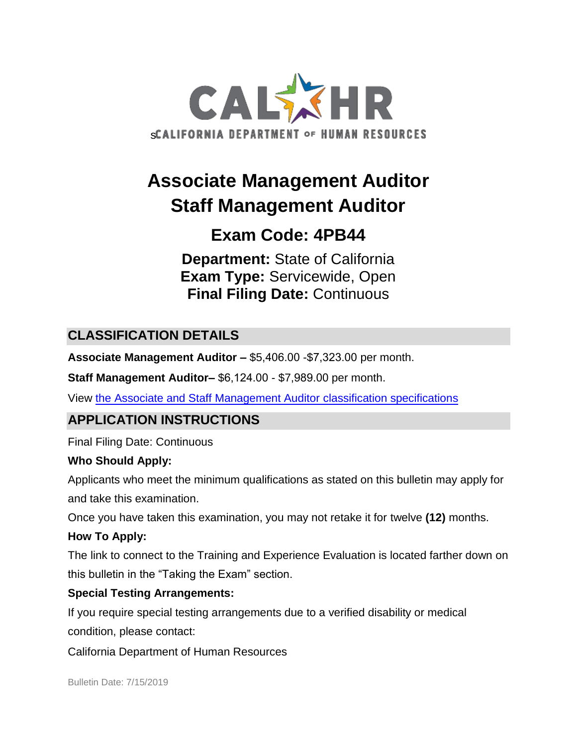

# **Associate Management Auditor Staff Management Auditor**

# **Exam Code: 4PB44**

**Department:** State of California **Exam Type:** Servicewide, Open **Final Filing Date:** Continuous

# **CLASSIFICATION DETAILS**

**Associate Management Auditor –** \$5,406.00 -\$7,323.00 per month.

**Staff Management Auditor–** \$6,124.00 - \$7,989.00 per month.

View [the Associate and Staff Management Auditor classification specifications](http://www.calhr.ca.gov/state-hr-professionals/pages/5841.aspx)

# **APPLICATION INSTRUCTIONS**

Final Filing Date: Continuous

#### **Who Should Apply:**

Applicants who meet the minimum qualifications as stated on this bulletin may apply for and take this examination.

Once you have taken this examination, you may not retake it for twelve **(12)** months.

## **How To Apply:**

The link to connect to the Training and Experience Evaluation is located farther down on this bulletin in the "Taking the Exam" section.

## **Special Testing Arrangements:**

If you require special testing arrangements due to a verified disability or medical condition, please contact:

California Department of Human Resources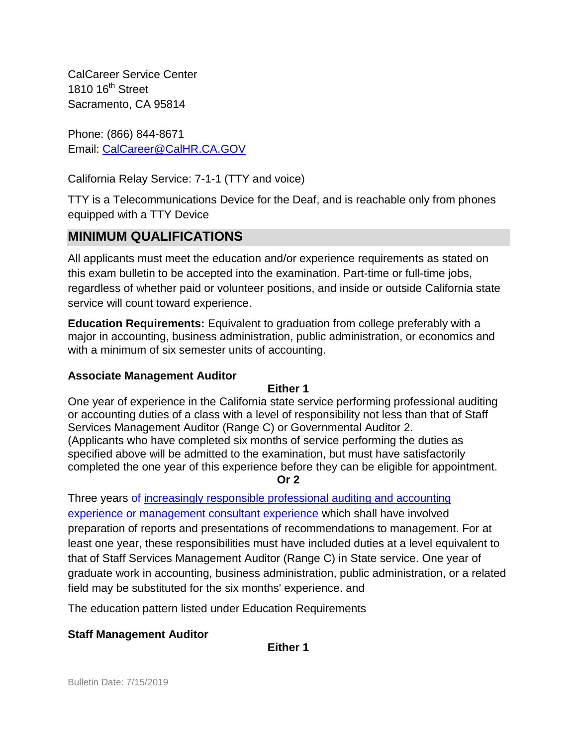CalCareer Service Center 1810  $16<sup>th</sup>$  Street Sacramento, CA 95814

Phone: (866) 844-8671 Email: [CalCareer@CalHR.CA.GOV](mailto:CalCareer@CalHR.CA.GOV)

California Relay Service: 7-1-1 (TTY and voice)

TTY is a Telecommunications Device for the Deaf, and is reachable only from phones equipped with a TTY Device

# **MINIMUM QUALIFICATIONS**

All applicants must meet the education and/or experience requirements as stated on this exam bulletin to be accepted into the examination. Part-time or full-time jobs, regardless of whether paid or volunteer positions, and inside or outside California state service will count toward experience.

**Education Requirements:** Equivalent to graduation from college preferably with a major in accounting, business administration, public administration, or economics and with a minimum of six semester units of accounting.

#### **Associate Management Auditor**

#### **Either 1**

One year of experience in the California state service performing professional auditing or accounting duties of a class with a level of responsibility not less than that of Staff Services Management Auditor (Range C) or Governmental Auditor 2. (Applicants who have completed six months of service performing the duties as specified above will be admitted to the examination, but must have satisfactorily completed the one year of this experience before they can be eligible for appointment.

**Or 2**

Three years of [increasingly responsible professional auditing and accounting](https://jobs.ca.gov/jobsgen/4PB44A.pdf)  [experience or management consultant experience](https://jobs.ca.gov/jobsgen/4PB44A.pdf) which shall have involved preparation of reports and presentations of recommendations to management. For at least one year, these responsibilities must have included duties at a level equivalent to that of Staff Services Management Auditor (Range C) in State service. One year of graduate work in accounting, business administration, public administration, or a related field may be substituted for the six months' experience. and

The education pattern listed under Education Requirements

#### **Staff Management Auditor**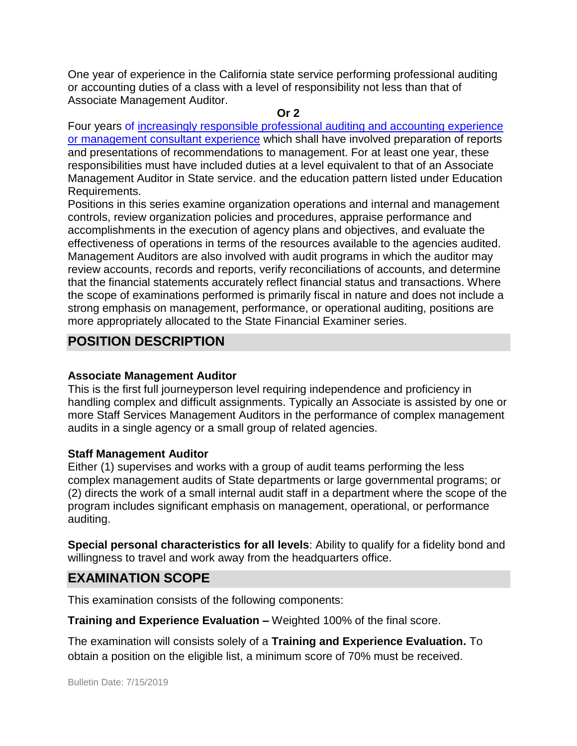One year of experience in the California state service performing professional auditing or accounting duties of a class with a level of responsibility not less than that of Associate Management Auditor.

#### **Or 2**

Four years of [increasingly responsible professional auditing and accounting experience](https://jobs.ca.gov/jobsgen/4PB44A.pdf)  [or management consultant experience](https://jobs.ca.gov/jobsgen/4PB44A.pdf) which shall have involved preparation of reports and presentations of recommendations to management. For at least one year, these responsibilities must have included duties at a level equivalent to that of an Associate Management Auditor in State service. and the education pattern listed under Education Requirements.

Positions in this series examine organization operations and internal and management controls, review organization policies and procedures, appraise performance and accomplishments in the execution of agency plans and objectives, and evaluate the effectiveness of operations in terms of the resources available to the agencies audited. Management Auditors are also involved with audit programs in which the auditor may review accounts, records and reports, verify reconciliations of accounts, and determine that the financial statements accurately reflect financial status and transactions. Where the scope of examinations performed is primarily fiscal in nature and does not include a strong emphasis on management, performance, or operational auditing, positions are more appropriately allocated to the State Financial Examiner series.

## **POSITION DESCRIPTION**

#### **Associate Management Auditor**

This is the first full journeyperson level requiring independence and proficiency in handling complex and difficult assignments. Typically an Associate is assisted by one or more Staff Services Management Auditors in the performance of complex management audits in a single agency or a small group of related agencies.

#### **Staff Management Auditor**

Either (1) supervises and works with a group of audit teams performing the less complex management audits of State departments or large governmental programs; or (2) directs the work of a small internal audit staff in a department where the scope of the program includes significant emphasis on management, operational, or performance auditing.

**Special personal characteristics for all levels:** Ability to qualify for a fidelity bond and willingness to travel and work away from the headquarters office.

## **EXAMINATION SCOPE**

This examination consists of the following components:

**Training and Experience Evaluation –** Weighted 100% of the final score.

The examination will consists solely of a **Training and Experience Evaluation.** To obtain a position on the eligible list, a minimum score of 70% must be received.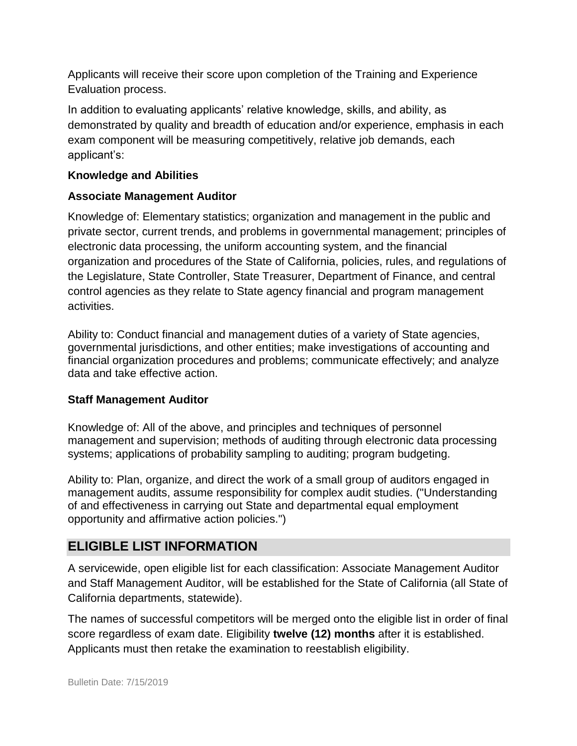Applicants will receive their score upon completion of the Training and Experience Evaluation process.

In addition to evaluating applicants' relative knowledge, skills, and ability, as demonstrated by quality and breadth of education and/or experience, emphasis in each exam component will be measuring competitively, relative job demands, each applicant's:

#### **Knowledge and Abilities**

#### **Associate Management Auditor**

Knowledge of: Elementary statistics; organization and management in the public and private sector, current trends, and problems in governmental management; principles of electronic data processing, the uniform accounting system, and the financial organization and procedures of the State of California, policies, rules, and regulations of the Legislature, State Controller, State Treasurer, Department of Finance, and central control agencies as they relate to State agency financial and program management activities.

Ability to: Conduct financial and management duties of a variety of State agencies, governmental jurisdictions, and other entities; make investigations of accounting and financial organization procedures and problems; communicate effectively; and analyze data and take effective action.

#### **Staff Management Auditor**

Knowledge of: All of the above, and principles and techniques of personnel management and supervision; methods of auditing through electronic data processing systems; applications of probability sampling to auditing; program budgeting.

Ability to: Plan, organize, and direct the work of a small group of auditors engaged in management audits, assume responsibility for complex audit studies. ("Understanding of and effectiveness in carrying out State and departmental equal employment opportunity and affirmative action policies.")

## **ELIGIBLE LIST INFORMATION**

A servicewide, open eligible list for each classification: Associate Management Auditor and Staff Management Auditor, will be established for the State of California (all State of California departments, statewide).

The names of successful competitors will be merged onto the eligible list in order of final score regardless of exam date. Eligibility **twelve (12) months** after it is established. Applicants must then retake the examination to reestablish eligibility.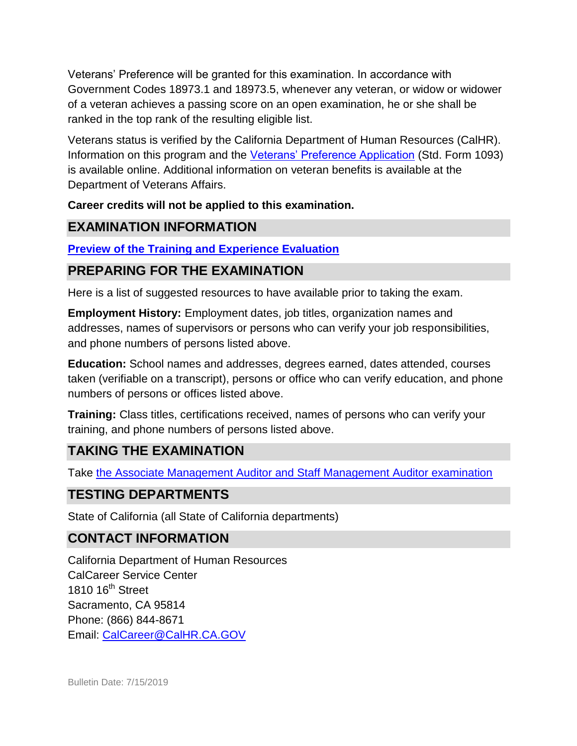Veterans' Preference will be granted for this examination. In accordance with Government Codes 18973.1 and 18973.5, whenever any veteran, or widow or widower of a veteran achieves a passing score on an open examination, he or she shall be ranked in the top rank of the resulting eligible list.

Veterans status is verified by the California Department of Human Resources (CalHR). Information on this program and the [Veterans' Preference Application](https://www.jobs.ca.gov/CalHRPublic/Landing/Jobs/VeteransInformation.aspx) (Std. Form 1093) is available online. Additional information on veteran benefits is available at the Department of Veterans Affairs.

### **Career credits will not be applied to this examination.**

## **EXAMINATION INFORMATION**

## **[Preview of the Training and Experience Evaluation](https://jobs.ca.gov/jobsgen/4PB44p.pdf)**

# **PREPARING FOR THE EXAMINATION**

Here is a list of suggested resources to have available prior to taking the exam.

**Employment History:** Employment dates, job titles, organization names and addresses, names of supervisors or persons who can verify your job responsibilities, and phone numbers of persons listed above.

**Education:** School names and addresses, degrees earned, dates attended, courses taken (verifiable on a transcript), persons or office who can verify education, and phone numbers of persons or offices listed above.

**Training:** Class titles, certifications received, names of persons who can verify your training, and phone numbers of persons listed above.

# **TAKING THE EXAMINATION**

Take [the Associate Management Auditor and Staff Management Auditor examination](https://exams.spb.ca.gov/exams/asma/index.cfm)

## **TESTING DEPARTMENTS**

State of California (all State of California departments)

# **CONTACT INFORMATION**

California Department of Human Resources CalCareer Service Center 1810  $16<sup>th</sup>$  Street Sacramento, CA 95814 Phone: (866) 844-8671 Email: [CalCareer@CalHR.CA.GOV](mailto:CalCareer@CalHR.CA.GOV)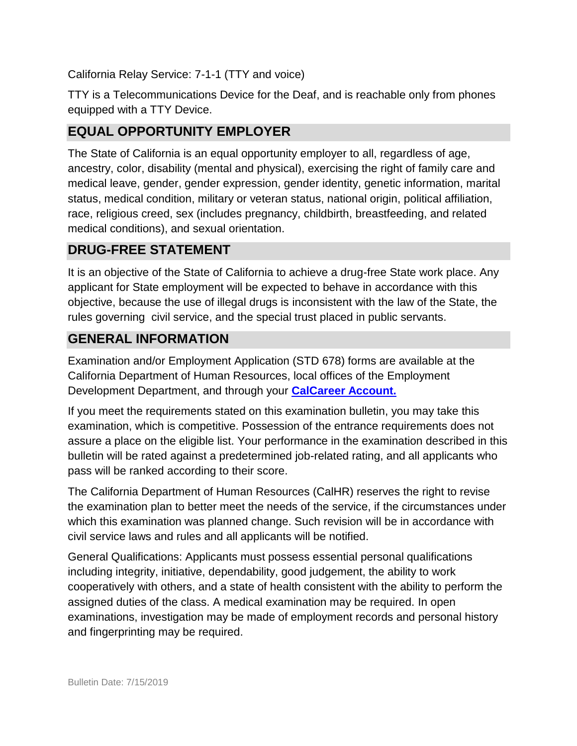California Relay Service: 7-1-1 (TTY and voice)

TTY is a Telecommunications Device for the Deaf, and is reachable only from phones equipped with a TTY Device.

# **EQUAL OPPORTUNITY EMPLOYER**

The State of California is an equal opportunity employer to all, regardless of age, ancestry, color, disability (mental and physical), exercising the right of family care and medical leave, gender, gender expression, gender identity, genetic information, marital status, medical condition, military or veteran status, national origin, political affiliation, race, religious creed, sex (includes pregnancy, childbirth, breastfeeding, and related medical conditions), and sexual orientation.

# **DRUG-FREE STATEMENT**

It is an objective of the State of California to achieve a drug-free State work place. Any applicant for State employment will be expected to behave in accordance with this objective, because the use of illegal drugs is inconsistent with the law of the State, the rules governing civil service, and the special trust placed in public servants.

# **GENERAL INFORMATION**

Examination and/or Employment Application (STD 678) forms are available at the California Department of Human Resources, local offices of the Employment Development Department, and through your **[CalCareer Account.](http://www.jobs.ca.gov/)**

If you meet the requirements stated on this examination bulletin, you may take this examination, which is competitive. Possession of the entrance requirements does not assure a place on the eligible list. Your performance in the examination described in this bulletin will be rated against a predetermined job-related rating, and all applicants who pass will be ranked according to their score.

The California Department of Human Resources (CalHR) reserves the right to revise the examination plan to better meet the needs of the service, if the circumstances under which this examination was planned change. Such revision will be in accordance with civil service laws and rules and all applicants will be notified.

General Qualifications: Applicants must possess essential personal qualifications including integrity, initiative, dependability, good judgement, the ability to work cooperatively with others, and a state of health consistent with the ability to perform the assigned duties of the class. A medical examination may be required. In open examinations, investigation may be made of employment records and personal history and fingerprinting may be required.